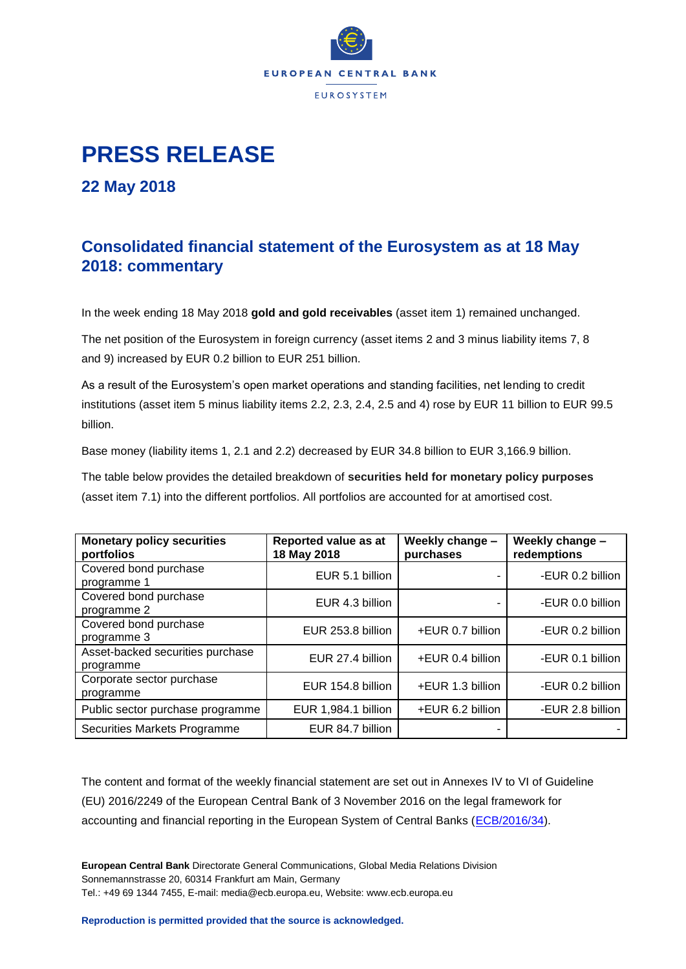

## **PRESS RELEASE**

**22 May 2018**

## **Consolidated financial statement of the Eurosystem as at 18 May 2018: commentary**

In the week ending 18 May 2018 **gold and gold receivables** (asset item 1) remained unchanged.

The net position of the Eurosystem in foreign currency (asset items 2 and 3 minus liability items 7, 8 and 9) increased by EUR 0.2 billion to EUR 251 billion.

As a result of the Eurosystem's open market operations and standing facilities, net lending to credit institutions (asset item 5 minus liability items 2.2, 2.3, 2.4, 2.5 and 4) rose by EUR 11 billion to EUR 99.5 billion.

Base money (liability items 1, 2.1 and 2.2) decreased by EUR 34.8 billion to EUR 3,166.9 billion.

The table below provides the detailed breakdown of **securities held for monetary policy purposes** (asset item 7.1) into the different portfolios. All portfolios are accounted for at amortised cost.

| <b>Monetary policy securities</b><br>portfolios | Reported value as at<br>18 May 2018 | Weekly change -<br>purchases | Weekly change -<br>redemptions |
|-------------------------------------------------|-------------------------------------|------------------------------|--------------------------------|
| Covered bond purchase<br>programme 1            | EUR 5.1 billion                     |                              | -EUR 0.2 billion               |
| Covered bond purchase<br>programme 2            | EUR 4.3 billion                     |                              | -EUR 0.0 billion               |
| Covered bond purchase<br>programme 3            | EUR 253.8 billion                   | +EUR 0.7 billion             | -EUR 0.2 billion               |
| Asset-backed securities purchase<br>programme   | EUR 27.4 billion                    | +EUR 0.4 billion             | -EUR 0.1 billion               |
| Corporate sector purchase<br>programme          | EUR 154.8 billion                   | +EUR 1.3 billion             | -EUR 0.2 billion               |
| Public sector purchase programme                | EUR 1,984.1 billion                 | +EUR 6.2 billion             | -EUR 2.8 billion               |
| Securities Markets Programme                    | EUR 84.7 billion                    |                              |                                |

The content and format of the weekly financial statement are set out in Annexes IV to VI of Guideline (EU) 2016/2249 of the European Central Bank of 3 November 2016 on the legal framework for accounting and financial reporting in the European System of Central Banks [\(ECB/2016/34\)](http://www.ecb.europa.eu/ecb/legal/1001/1012/html/index.en.html).

**European Central Bank** Directorate General Communications, Global Media Relations Division Sonnemannstrasse 20, 60314 Frankfurt am Main, Germany Tel.: +49 69 1344 7455, E-mail: media@ecb.europa.eu, Website: www.ecb.europa.eu

**Reproduction is permitted provided that the source is acknowledged.**